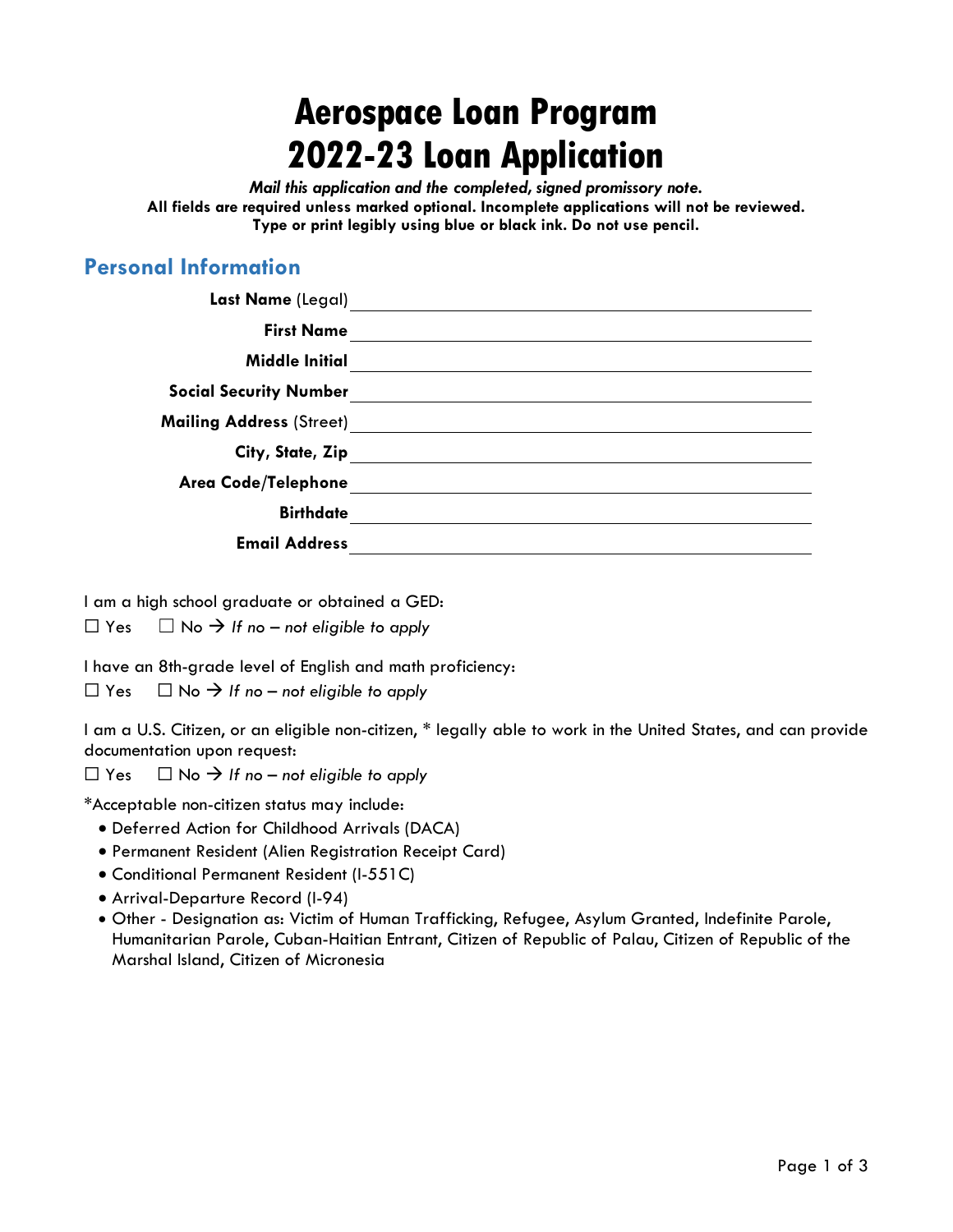# **Aerospace Loan Program 2022-23 Loan Application**

*Mail this application and the completed, signed promissory note.*  **All fields are required unless marked optional. Incomplete applications will not be reviewed. Type or print legibly using blue or black ink. Do not use pencil.** 

## **Personal Information**

| Last Name (Legal)               |  |
|---------------------------------|--|
| <b>First Name</b>               |  |
| <b>Middle Initial</b>           |  |
| <b>Social Security Number</b>   |  |
| <b>Mailing Address</b> (Street) |  |
| City, State, Zip                |  |
| Area Code/Telephone             |  |
| <b>Birthdate</b>                |  |
| <b>Email Address</b>            |  |

I am a high school graduate or obtained a GED:

 $\Box$  Yes  $\Box$  No  $\rightarrow$  If no – not eligible to apply

I have an 8th-grade level of English and math proficiency:

 $\Box$  Yes  $\Box$  No  $\rightarrow$  If no – not eligible to apply

I am a U.S. Citizen, or an eligible non-citizen, \* legally able to work in the United States, and can provide documentation upon request:

 $\Box$  Yes  $\Box$  No  $\rightarrow$  If no – not eligible to apply

\*Acceptable non-citizen status may include:

- Deferred Action for Childhood Arrivals (DACA)
- Permanent Resident (Alien Registration Receipt Card)
- Conditional Permanent Resident (I-551C)
- Arrival-Departure Record (I-94)
- Other Designation as: Victim of Human Trafficking, Refugee, Asylum Granted, Indefinite Parole, Humanitarian Parole, Cuban-Haitian Entrant, Citizen of Republic of Palau, Citizen of Republic of the Marshal Island, Citizen of Micronesia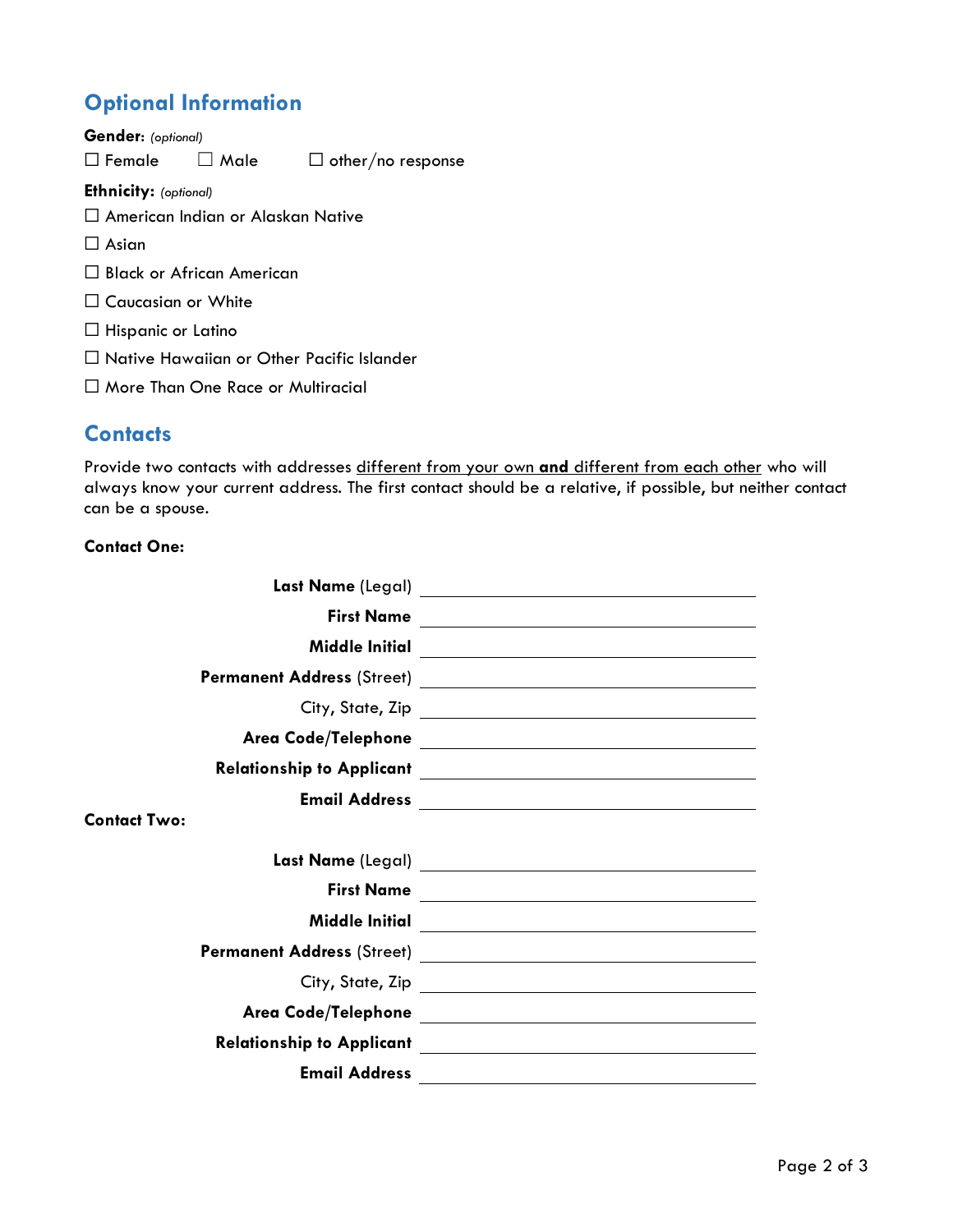# **Optional Information**

**Gender**: *(optional)*  $\Box$  Female  $\Box$  Male  $\Box$  other/no response **Ethnicity:** *(optional)* ☐ American Indian or Alaskan Native  $\Box$  Asian ☐ Black or African American ☐ Caucasian or White ☐ Hispanic or Latino ☐ Native Hawaiian or Other Pacific Islander ☐ More Than One Race or Multiracial

# **Contacts**

Provide two contacts with addresses different from your own **and** different from each other who will always know your current address. The first contact should be a relative, if possible, but neither contact can be a spouse.

#### **Contact One:**

|                      | First Name |
|----------------------|------------|
|                      |            |
|                      |            |
|                      |            |
|                      |            |
|                      |            |
|                      |            |
| <b>Contact Two:</b>  |            |
|                      |            |
| <b>First Name</b>    |            |
|                      |            |
|                      |            |
|                      |            |
|                      |            |
|                      |            |
| <b>Email Address</b> |            |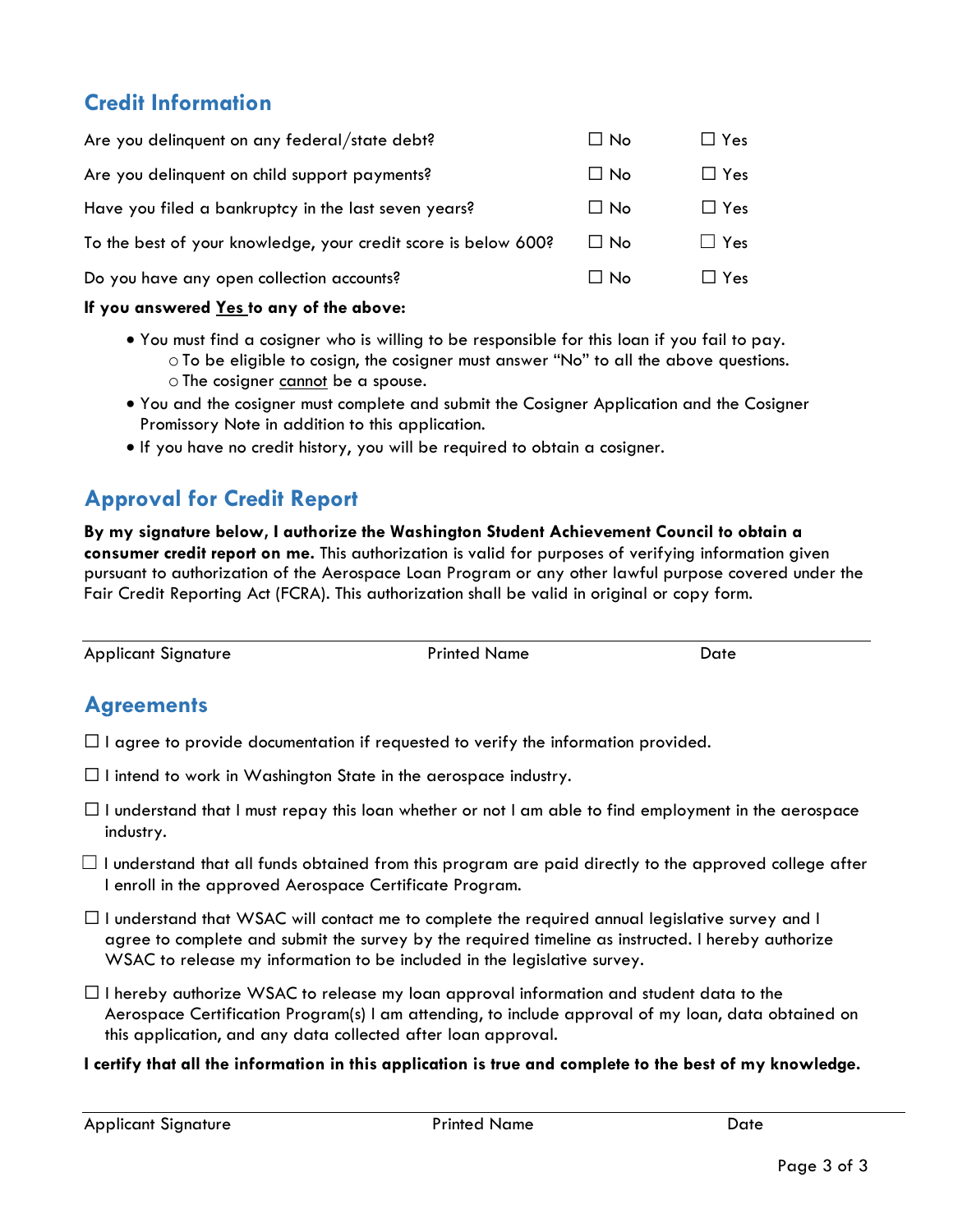# **Credit Information**

| Are you delinquent on any federal/state debt?                  | $\Box$ No | $\Box$ Yes    |
|----------------------------------------------------------------|-----------|---------------|
| Are you delinquent on child support payments?                  | $\Box$ No | $\Box$ Yes    |
| Have you filed a bankruptcy in the last seven years?           | $\Box$ No | $\Box$ Yes    |
| To the best of your knowledge, your credit score is below 600? | $\Box$ No | $\Box$ Yes    |
| Do you have any open collection accounts?                      | $\Box$ No | $\square$ Yes |
|                                                                |           |               |

#### **If you answered Yes to any of the above:**

- You must find a cosigner who is willing to be responsible for this loan if you fail to pay.  $\circ$  To be eligible to cosign, the cosigner must answer "No" to all the above questions. o The cosigner cannot be a spouse.
- You and the cosigner must complete and submit the Cosigner Application and the Cosigner Promissory Note in addition to this application.
- If you have no credit history, you will be required to obtain a cosigner.

# **Approval for Credit Report**

**By my signature below, I authorize the Washington Student Achievement Council to obtain a consumer credit report on me.** This authorization is valid for purposes of verifying information given pursuant to authorization of the Aerospace Loan Program or any other lawful purpose covered under the Fair Credit Reporting Act (FCRA). This authorization shall be valid in original or copy form.

Applicant Signature **Printed Name** Date **Date** 

# **Agreements**

- $\Box$  I agree to provide documentation if requested to verify the information provided.
- $\Box$  I intend to work in Washington State in the aerospace industry.
- $\Box$  I understand that I must repay this loan whether or not I am able to find employment in the aerospace industry.
- $\Box$  I understand that all funds obtained from this program are paid directly to the approved college after I enroll in the approved Aerospace Certificate Program.
- $\Box$  I understand that WSAC will contact me to complete the required annual legislative survey and I agree to complete and submit the survey by the required timeline as instructed. I hereby authorize WSAC to release my information to be included in the legislative survey.
- $\Box$  I hereby authorize WSAC to release my loan approval information and student data to the Aerospace Certification Program(s) I am attending, to include approval of my loan, data obtained on this application, and any data collected after loan approval.
- **I certify that all the information in this application is true and complete to the best of my knowledge.**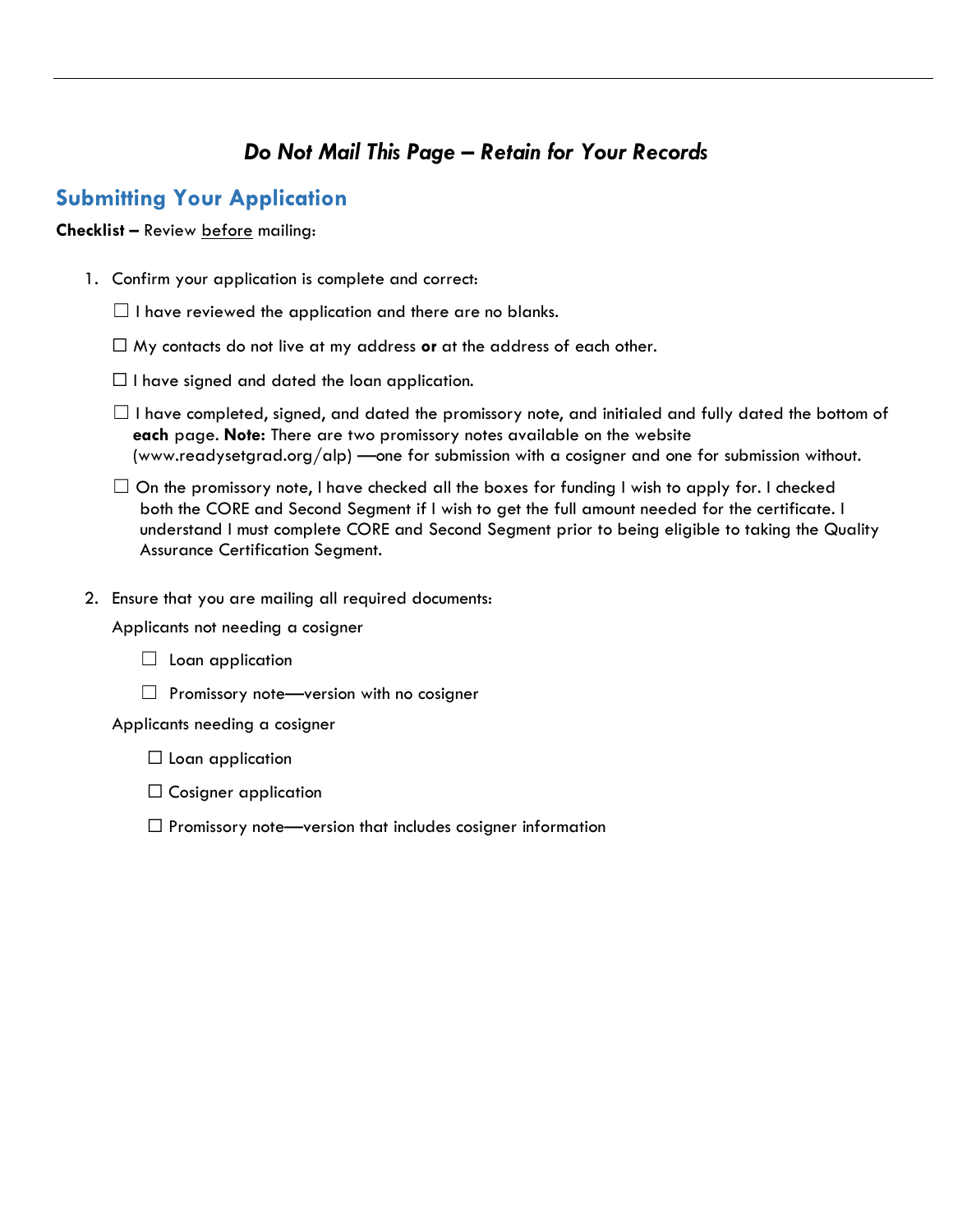# *Do Not Mail This Page – Retain for Your Records*

#### **Submitting Your Application**

#### **Checklist –** Review before mailing:

- 1. Confirm your application is complete and correct:
	- $\Box$  I have reviewed the application and there are no blanks.
	- ☐ My contacts do not live at my address **or** at the address of each other.
	- $\Box$  I have signed and dated the loan application.
	- $\Box$  I have completed, signed, and dated the promissory note, and initialed and fully dated the bottom of **each** page. **Note:** There are two promissory notes available on the website (www.readysetgrad.org/alp) —one for submission with a cosigner and one for submission without.
	- $\Box$  On the promissory note, I have checked all the boxes for funding I wish to apply for. I checked both the CORE and Second Segment if I wish to get the full amount needed for the certificate. I understand I must complete CORE and Second Segment prior to being eligible to taking the Quality Assurance Certification Segment.
- 2. Ensure that you are mailing all required documents:

Applicants not needing a cosigner

- $\Box$  Loan application
- $\Box$  Promissory note—version with no cosigner

Applicants needing a cosigner

- $\Box$  Loan application
- $\Box$  Cosigner application
- $\Box$  Promissory note—version that includes cosigner information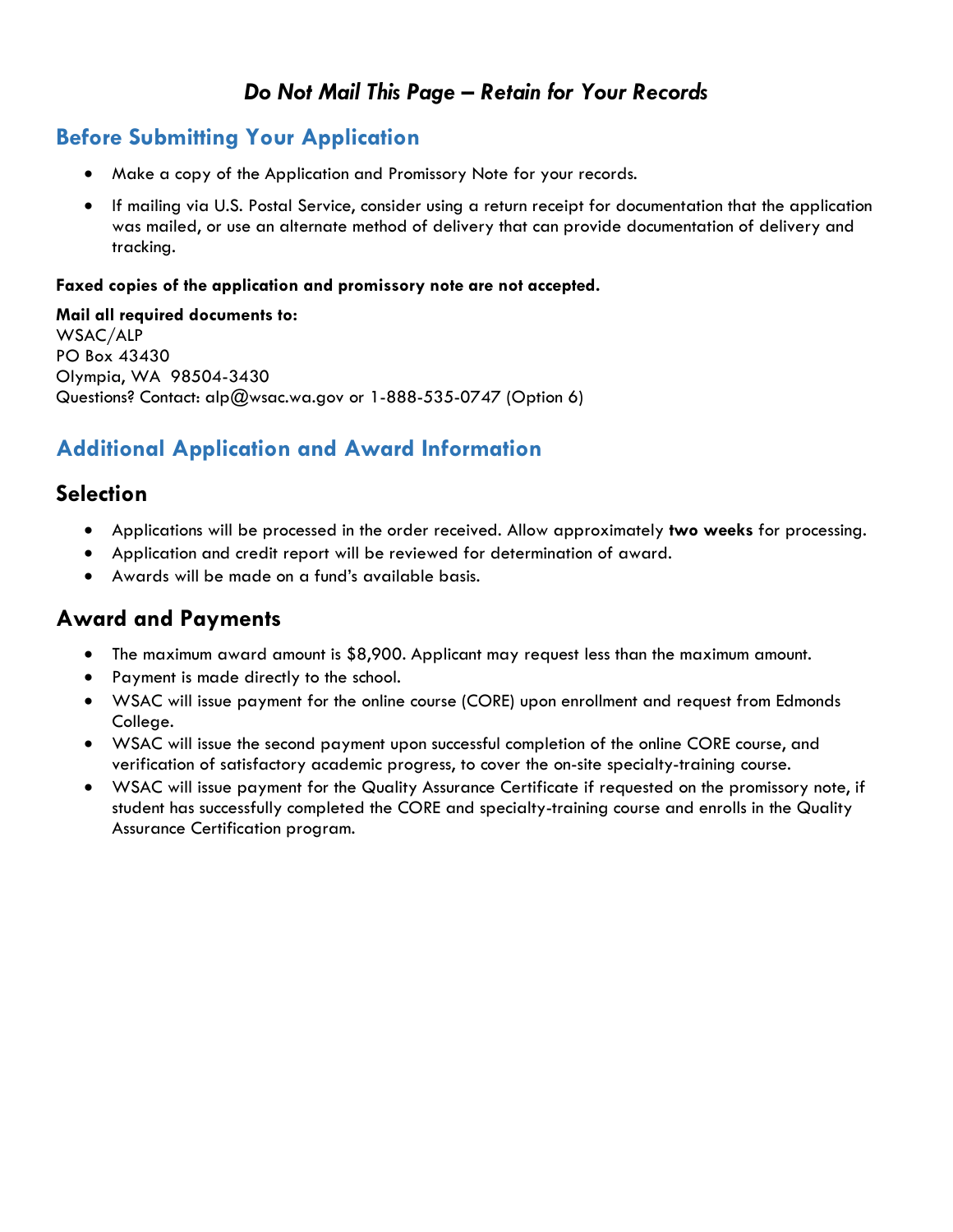## *Do Not Mail This Page – Retain for Your Records*

## **Before Submitting Your Application**

- Make a copy of the Application and Promissory Note for your records.
- If mailing via U.S. Postal Service, consider using a return receipt for documentation that the application was mailed, or use an alternate method of delivery that can provide documentation of delivery and tracking.

#### **Faxed copies of the application and promissory note are not accepted.**

**Mail all required documents to:** WSAC/ALP PO Box 43430 Olympia, WA 98504-3430 Questions? Contact: alp@wsac.wa.gov or 1-888-535-0747 (Option 6)

# **Additional Application and Award Information**

#### **Selection**

- Applications will be processed in the order received. Allow approximately **two weeks** for processing.
- Application and credit report will be reviewed for determination of award.
- Awards will be made on a fund's available basis.

#### **Award and Payments**

- The maximum award amount is \$8,900. Applicant may request less than the maximum amount.
- Payment is made directly to the school.
- WSAC will issue payment for the online course (CORE) upon enrollment and request from Edmonds College.
- WSAC will issue the second payment upon successful completion of the online CORE course, and verification of satisfactory academic progress, to cover the on-site specialty-training course.
- WSAC will issue payment for the Quality Assurance Certificate if requested on the promissory note, if student has successfully completed the CORE and specialty-training course and enrolls in the Quality Assurance Certification program.